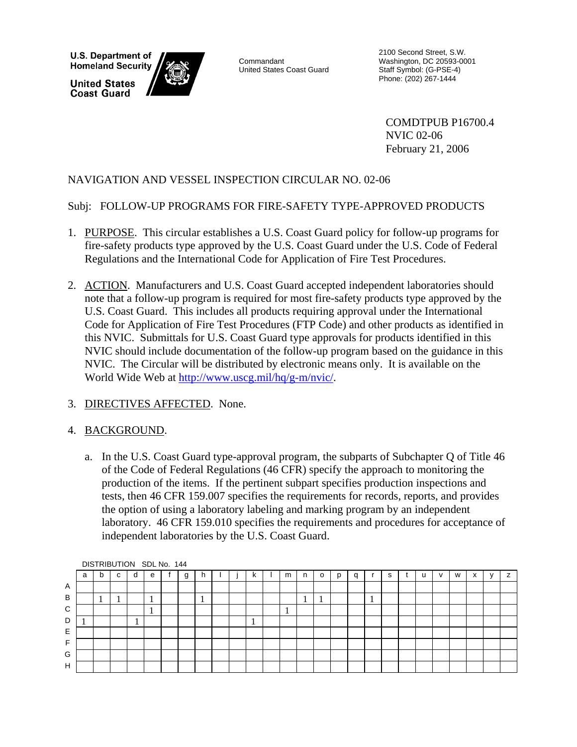**U.S. Department of Homeland Security** 

**United States Coast Guard** 



United States Coast Guard Staff Symbol: (G-PSE-4)

2100 Second Street, S.W. Commandant Washington, DC 20593-0001 Phone: (202) 267-1444

> COMDTPUB P16700.4 NVIC 02-06 February 21, 2006

# NAVIGATION AND VESSEL INSPECTION CIRCULAR NO. 02-06

## Subj: FOLLOW-UP PROGRAMS FOR FIRE-SAFETY TYPE-APPROVED PRODUCTS

- 1. PURPOSE. This circular establishes a U.S. Coast Guard policy for follow-up programs for fire-safety products type approved by the U.S. Coast Guard under the U.S. Code of Federal Regulations and the International Code for Application of Fire Test Procedures.
- 2. ACTION. Manufacturers and U.S. Coast Guard accepted independent laboratories should note that a follow-up program is required for most fire-safety products type approved by the U.S. Coast Guard. This includes all products requiring approval under the International Code for Application of Fire Test Procedures (FTP Code) and other products as identified in this NVIC. Submittals for U.S. Coast Guard type approvals for products identified in this NVIC should include documentation of the follow-up program based on the guidance in this NVIC. The Circular will be distributed by electronic means only. It is available on the World Wide Web at http://www.uscg.mil/hq/g-m/nvic/.

## 3. DIRECTIVES AFFECTED. None.

## 4. BACKGROUND.

a. In the U.S. Coast Guard type-approval program, the subparts of Subchapter Q of Title 46 of the Code of Federal Regulations (46 CFR) specify the approach to monitoring the production of the items. If the pertinent subpart specifies production inspections and tests, then 46 CFR 159.007 specifies the requirements for records, reports, and provides the option of using a laboratory labeling and marking program by an independent laboratory. 46 CFR 159.010 specifies the requirements and procedures for acceptance of independent laboratories by the U.S. Coast Guard.

|              | DISTRIBUTION SDL No. 144 |   |   |   |   |  |   |   |  |  |   |   |   |         |   |   |   |   |              |   |                   |  |   |
|--------------|--------------------------|---|---|---|---|--|---|---|--|--|---|---|---|---------|---|---|---|---|--------------|---|-------------------|--|---|
|              | a                        | b | C | d | e |  | g | h |  |  | N | m | n | $\circ$ | p | a | s | u | $\mathsf{v}$ | W | $\checkmark$<br>ᄉ |  | z |
| $\mathsf{A}$ |                          |   |   |   |   |  |   |   |  |  |   |   |   |         |   |   |   |   |              |   |                   |  |   |
| B            |                          |   |   |   |   |  |   |   |  |  |   |   |   |         |   |   |   |   |              |   |                   |  |   |
| C            |                          |   |   |   |   |  |   |   |  |  |   |   |   |         |   |   |   |   |              |   |                   |  |   |
| D            |                          |   |   |   |   |  |   |   |  |  |   |   |   |         |   |   |   |   |              |   |                   |  |   |
| E            |                          |   |   |   |   |  |   |   |  |  |   |   |   |         |   |   |   |   |              |   |                   |  |   |
| F            |                          |   |   |   |   |  |   |   |  |  |   |   |   |         |   |   |   |   |              |   |                   |  |   |
| G            |                          |   |   |   |   |  |   |   |  |  |   |   |   |         |   |   |   |   |              |   |                   |  |   |
| H            |                          |   |   |   |   |  |   |   |  |  |   |   |   |         |   |   |   |   |              |   |                   |  |   |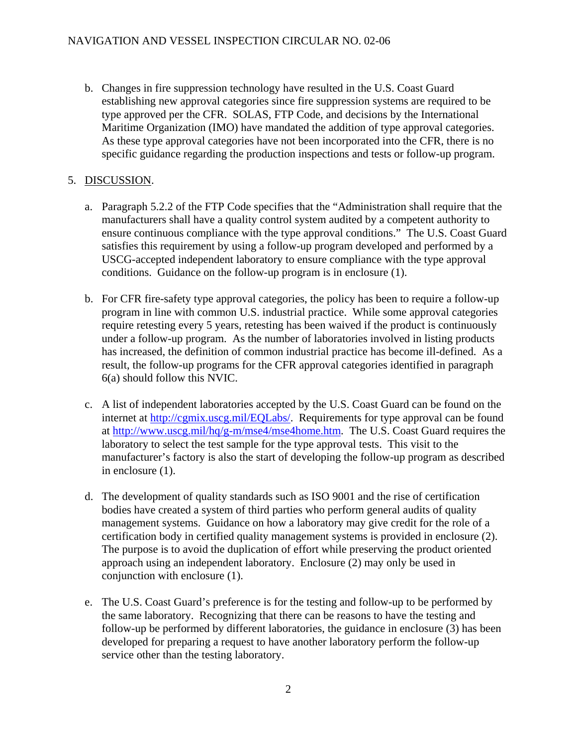## NAVIGATION AND VESSEL INSPECTION CIRCULAR NO. 02-06

b. Changes in fire suppression technology have resulted in the U.S. Coast Guard establishing new approval categories since fire suppression systems are required to be type approved per the CFR. SOLAS, FTP Code, and decisions by the International Maritime Organization (IMO) have mandated the addition of type approval categories. As these type approval categories have not been incorporated into the CFR, there is no specific guidance regarding the production inspections and tests or follow-up program.

## 5. DISCUSSION.

- a. Paragraph 5.2.2 of the FTP Code specifies that the "Administration shall require that the manufacturers shall have a quality control system audited by a competent authority to ensure continuous compliance with the type approval conditions." The U.S. Coast Guard satisfies this requirement by using a follow-up program developed and performed by a USCG-accepted independent laboratory to ensure compliance with the type approval conditions. Guidance on the follow-up program is in enclosure (1).
- b. For CFR fire-safety type approval categories, the policy has been to require a follow-up program in line with common U.S. industrial practice. While some approval categories require retesting every 5 years, retesting has been waived if the product is continuously under a follow-up program. As the number of laboratories involved in listing products has increased, the definition of common industrial practice has become ill-defined. As a result, the follow-up programs for the CFR approval categories identified in paragraph 6(a) should follow this NVIC.
- c. A list of independent laboratories accepted by the U.S. Coast Guard can be found on the internet at http://cgmix.uscg.mil/EQLabs/. Requirements for type approval can be found at http://www.uscg.mil/hq/g-m/mse4/mse4home.htm. The U.S. Coast Guard requires the laboratory to select the test sample for the type approval tests. This visit to the manufacturer's factory is also the start of developing the follow-up program as described in enclosure (1).
- d. The development of quality standards such as ISO 9001 and the rise of certification bodies have created a system of third parties who perform general audits of quality management systems. Guidance on how a laboratory may give credit for the role of a certification body in certified quality management systems is provided in enclosure (2). The purpose is to avoid the duplication of effort while preserving the product oriented approach using an independent laboratory. Enclosure (2) may only be used in conjunction with enclosure (1).
- e. The U.S. Coast Guard's preference is for the testing and follow-up to be performed by the same laboratory. Recognizing that there can be reasons to have the testing and follow-up be performed by different laboratories, the guidance in enclosure (3) has been developed for preparing a request to have another laboratory perform the follow-up service other than the testing laboratory.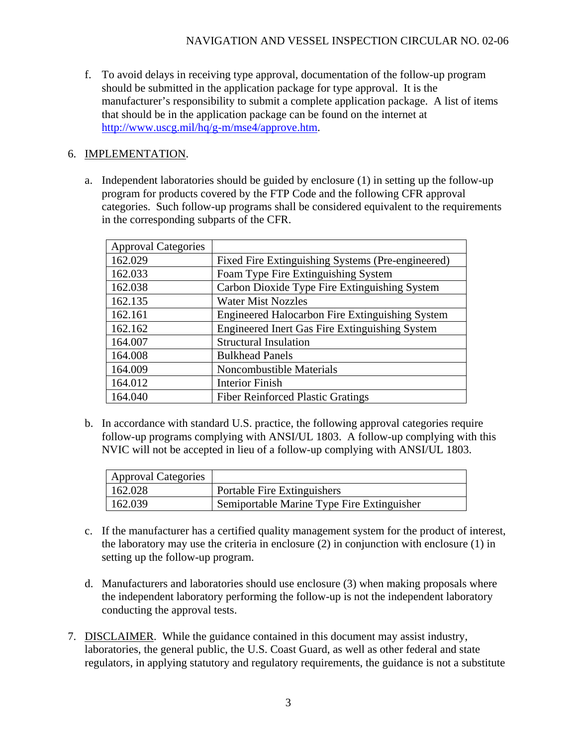f. To avoid delays in receiving type approval, documentation of the follow-up program should be submitted in the application package for type approval. It is the manufacturer's responsibility to submit a complete application package. A list of items that should be in the application package can be found on the internet at http://www.uscg.mil/hq/g-m/mse4/approve.htm.

## 6. IMPLEMENTATION.

a. Independent laboratories should be guided by enclosure (1) in setting up the follow-up program for products covered by the FTP Code and the following CFR approval categories. Such follow-up programs shall be considered equivalent to the requirements in the corresponding subparts of the CFR.

| <b>Approval Categories</b> |                                                        |
|----------------------------|--------------------------------------------------------|
| 162.029                    | Fixed Fire Extinguishing Systems (Pre-engineered)      |
| 162.033                    | Foam Type Fire Extinguishing System                    |
| 162.038                    | Carbon Dioxide Type Fire Extinguishing System          |
| 162.135                    | <b>Water Mist Nozzles</b>                              |
| 162.161                    | <b>Engineered Halocarbon Fire Extinguishing System</b> |
| 162.162                    | <b>Engineered Inert Gas Fire Extinguishing System</b>  |
| 164.007                    | <b>Structural Insulation</b>                           |
| 164.008                    | <b>Bulkhead Panels</b>                                 |
| 164.009                    | Noncombustible Materials                               |
| 164.012                    | <b>Interior Finish</b>                                 |
| 164.040                    | <b>Fiber Reinforced Plastic Gratings</b>               |

b. In accordance with standard U.S. practice, the following approval categories require follow-up programs complying with ANSI/UL 1803. A follow-up complying with this NVIC will not be accepted in lieu of a follow-up complying with ANSI/UL 1803.

| <b>Approval Categories</b> |                                            |
|----------------------------|--------------------------------------------|
| 162.028                    | Portable Fire Extinguishers                |
| 162.039                    | Semiportable Marine Type Fire Extinguisher |

- c. If the manufacturer has a certified quality management system for the product of interest, the laboratory may use the criteria in enclosure (2) in conjunction with enclosure (1) in setting up the follow-up program.
- d. Manufacturers and laboratories should use enclosure (3) when making proposals where the independent laboratory performing the follow-up is not the independent laboratory conducting the approval tests.
- 7. DISCLAIMER. While the guidance contained in this document may assist industry, laboratories, the general public, the U.S. Coast Guard, as well as other federal and state regulators, in applying statutory and regulatory requirements, the guidance is not a substitute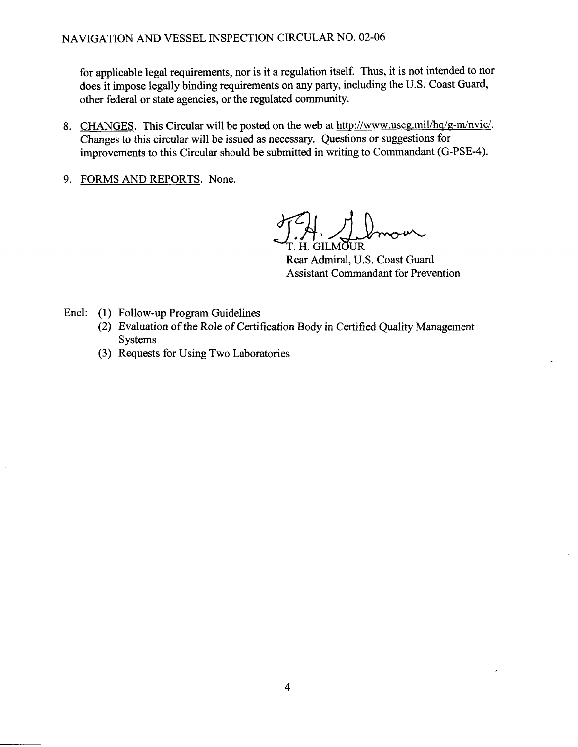for applicable legal requirements, nor is it a regulation itself. Thus, it is not intended to nor does it impose legally binding requirements on any party, including the U.S. Coast Guard, other federal or state agencies, or the regulated community.

- 8. CHANGES. This Circular will be posted on the web at http://www.uscg.mil/hq/g-m/nvic/. Changes to this circular will be issued as necessary. Questions or suggestions for improvements to this Circular should be submitted in writing to Commandant (G-PSE-4).
- 9. FORMS AND REPORTS. None.

Maria II Whilip webminariam (C)

Rear Admiral, U.S. Coast Guard Assistant Commandant for Prevention

- Encl: (1) Follow-up Program Guidelines
	- (2) Evaluation of the Role of Certification Body in Certified Quality Management Systems
	- (3) Requests for Using Two Laboratories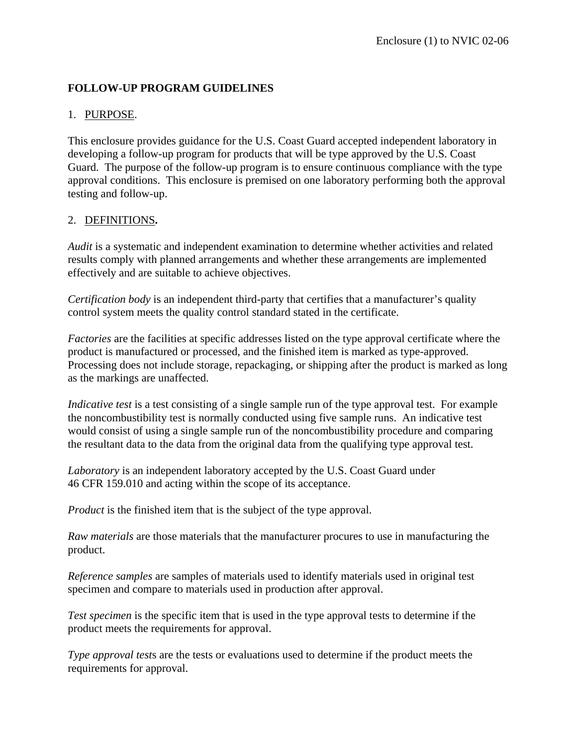# **FOLLOW-UP PROGRAM GUIDELINES**

## 1. PURPOSE.

This enclosure provides guidance for the U.S. Coast Guard accepted independent laboratory in developing a follow-up program for products that will be type approved by the U.S. Coast Guard. The purpose of the follow-up program is to ensure continuous compliance with the type approval conditions. This enclosure is premised on one laboratory performing both the approval testing and follow-up.

## 2. DEFINITIONS**.**

*Audit* is a systematic and independent examination to determine whether activities and related results comply with planned arrangements and whether these arrangements are implemented effectively and are suitable to achieve objectives.

*Certification body* is an independent third-party that certifies that a manufacturer's quality control system meets the quality control standard stated in the certificate.

*Factories* are the facilities at specific addresses listed on the type approval certificate where the product is manufactured or processed, and the finished item is marked as type-approved. Processing does not include storage, repackaging, or shipping after the product is marked as long as the markings are unaffected.

*Indicative test* is a test consisting of a single sample run of the type approval test. For example the noncombustibility test is normally conducted using five sample runs. An indicative test would consist of using a single sample run of the noncombustibility procedure and comparing the resultant data to the data from the original data from the qualifying type approval test.

*Laboratory* is an independent laboratory accepted by the U.S. Coast Guard under 46 CFR 159.010 and acting within the scope of its acceptance.

*Product* is the finished item that is the subject of the type approval.

*Raw materials* are those materials that the manufacturer procures to use in manufacturing the product.

*Reference samples* are samples of materials used to identify materials used in original test specimen and compare to materials used in production after approval.

*Test specimen* is the specific item that is used in the type approval tests to determine if the product meets the requirements for approval.

*Type approval test*s are the tests or evaluations used to determine if the product meets the requirements for approval.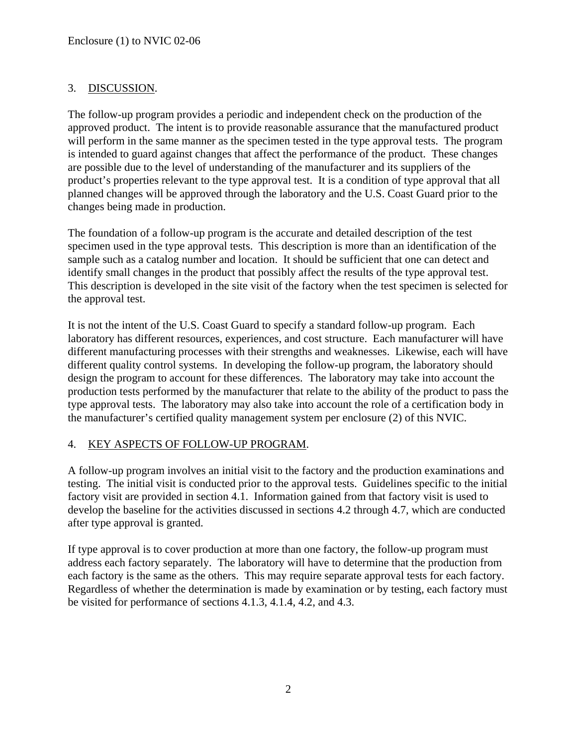## 3. DISCUSSION.

The follow-up program provides a periodic and independent check on the production of the approved product. The intent is to provide reasonable assurance that the manufactured product will perform in the same manner as the specimen tested in the type approval tests. The program is intended to guard against changes that affect the performance of the product. These changes are possible due to the level of understanding of the manufacturer and its suppliers of the product's properties relevant to the type approval test. It is a condition of type approval that all planned changes will be approved through the laboratory and the U.S. Coast Guard prior to the changes being made in production.

The foundation of a follow-up program is the accurate and detailed description of the test specimen used in the type approval tests. This description is more than an identification of the sample such as a catalog number and location. It should be sufficient that one can detect and identify small changes in the product that possibly affect the results of the type approval test. This description is developed in the site visit of the factory when the test specimen is selected for the approval test.

It is not the intent of the U.S. Coast Guard to specify a standard follow-up program. Each laboratory has different resources, experiences, and cost structure. Each manufacturer will have different manufacturing processes with their strengths and weaknesses. Likewise, each will have different quality control systems. In developing the follow-up program, the laboratory should design the program to account for these differences. The laboratory may take into account the production tests performed by the manufacturer that relate to the ability of the product to pass the type approval tests. The laboratory may also take into account the role of a certification body in the manufacturer's certified quality management system per enclosure (2) of this NVIC.

## 4. KEY ASPECTS OF FOLLOW-UP PROGRAM.

A follow-up program involves an initial visit to the factory and the production examinations and testing. The initial visit is conducted prior to the approval tests. Guidelines specific to the initial factory visit are provided in section 4.1. Information gained from that factory visit is used to develop the baseline for the activities discussed in sections 4.2 through 4.7, which are conducted after type approval is granted.

If type approval is to cover production at more than one factory, the follow-up program must address each factory separately. The laboratory will have to determine that the production from each factory is the same as the others. This may require separate approval tests for each factory. Regardless of whether the determination is made by examination or by testing, each factory must be visited for performance of sections 4.1.3, 4.1.4, 4.2, and 4.3.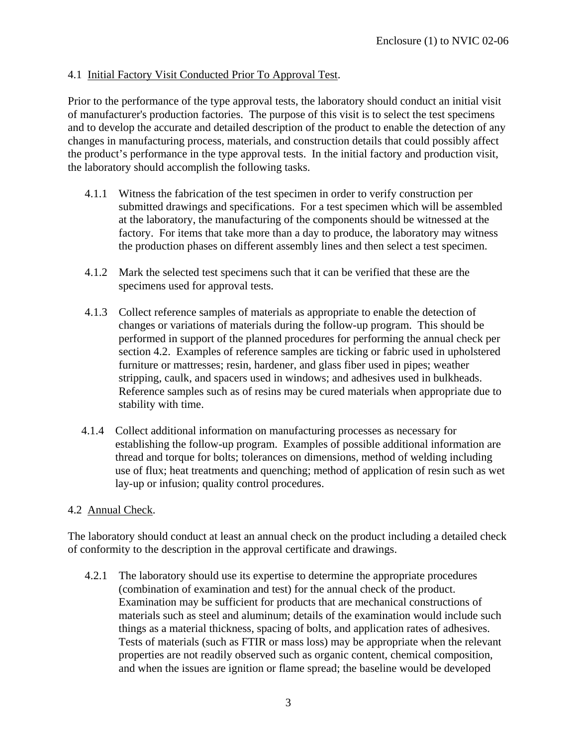## 4.1 Initial Factory Visit Conducted Prior To Approval Test.

Prior to the performance of the type approval tests, the laboratory should conduct an initial visit of manufacturer's production factories. The purpose of this visit is to select the test specimens and to develop the accurate and detailed description of the product to enable the detection of any changes in manufacturing process, materials, and construction details that could possibly affect the product's performance in the type approval tests. In the initial factory and production visit, the laboratory should accomplish the following tasks.

- 4.1.1 Witness the fabrication of the test specimen in order to verify construction per submitted drawings and specifications. For a test specimen which will be assembled at the laboratory, the manufacturing of the components should be witnessed at the factory. For items that take more than a day to produce, the laboratory may witness the production phases on different assembly lines and then select a test specimen.
- 4.1.2 Mark the selected test specimens such that it can be verified that these are the specimens used for approval tests.
- 4.1.3 Collect reference samples of materials as appropriate to enable the detection of changes or variations of materials during the follow-up program. This should be performed in support of the planned procedures for performing the annual check per section 4.2. Examples of reference samples are ticking or fabric used in upholstered furniture or mattresses; resin, hardener, and glass fiber used in pipes; weather stripping, caulk, and spacers used in windows; and adhesives used in bulkheads. Reference samples such as of resins may be cured materials when appropriate due to stability with time.
- 4.1.4 Collect additional information on manufacturing processes as necessary for establishing the follow-up program. Examples of possible additional information are thread and torque for bolts; tolerances on dimensions, method of welding including use of flux; heat treatments and quenching; method of application of resin such as wet lay-up or infusion; quality control procedures.

## 4.2 Annual Check.

The laboratory should conduct at least an annual check on the product including a detailed check of conformity to the description in the approval certificate and drawings.

4.2.1 The laboratory should use its expertise to determine the appropriate procedures (combination of examination and test) for the annual check of the product. Examination may be sufficient for products that are mechanical constructions of materials such as steel and aluminum; details of the examination would include such things as a material thickness, spacing of bolts, and application rates of adhesives. Tests of materials (such as FTIR or mass loss) may be appropriate when the relevant properties are not readily observed such as organic content, chemical composition, and when the issues are ignition or flame spread; the baseline would be developed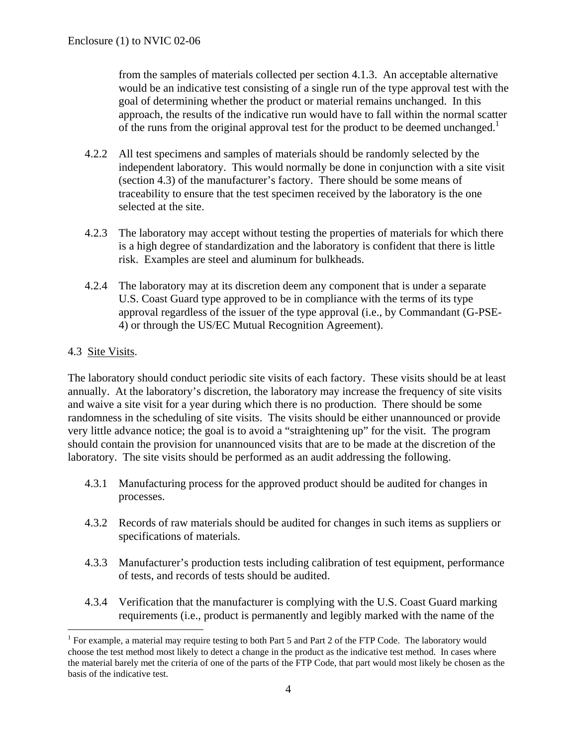from the samples of materials collected per section 4.1.3. An acceptable alternative would be an indicative test consisting of a single run of the type approval test with the goal of determining whether the product or material remains unchanged. In this approach, the results of the indicative run would have to fall within the normal scatter of the runs from the original approval test for the product to be deemed unchanged.<sup>1</sup>

- 4.2.2 All test specimens and samples of materials should be randomly selected by the independent laboratory. This would normally be done in conjunction with a site visit (section 4.3) of the manufacturer's factory. There should be some means of traceability to ensure that the test specimen received by the laboratory is the one selected at the site.
- 4.2.3 The laboratory may accept without testing the properties of materials for which there is a high degree of standardization and the laboratory is confident that there is little risk. Examples are steel and aluminum for bulkheads.
- 4.2.4 The laboratory may at its discretion deem any component that is under a separate U.S. Coast Guard type approved to be in compliance with the terms of its type approval regardless of the issuer of the type approval (i.e., by Commandant (G-PSE-4) or through the US/EC Mutual Recognition Agreement).

#### 4.3 Site Visits.

<u>.</u>

The laboratory should conduct periodic site visits of each factory. These visits should be at least annually. At the laboratory's discretion, the laboratory may increase the frequency of site visits and waive a site visit for a year during which there is no production. There should be some randomness in the scheduling of site visits. The visits should be either unannounced or provide very little advance notice; the goal is to avoid a "straightening up" for the visit. The program should contain the provision for unannounced visits that are to be made at the discretion of the laboratory. The site visits should be performed as an audit addressing the following.

- 4.3.1 Manufacturing process for the approved product should be audited for changes in processes.
- 4.3.2 Records of raw materials should be audited for changes in such items as suppliers or specifications of materials.
- 4.3.3 Manufacturer's production tests including calibration of test equipment, performance of tests, and records of tests should be audited.
- 4.3.4 Verification that the manufacturer is complying with the U.S. Coast Guard marking requirements (i.e., product is permanently and legibly marked with the name of the

<span id="page-7-0"></span><sup>&</sup>lt;sup>1</sup> For example, a material may require testing to both Part 5 and Part 2 of the FTP Code. The laboratory would choose the test method most likely to detect a change in the product as the indicative test method. In cases where the material barely met the criteria of one of the parts of the FTP Code, that part would most likely be chosen as the basis of the indicative test.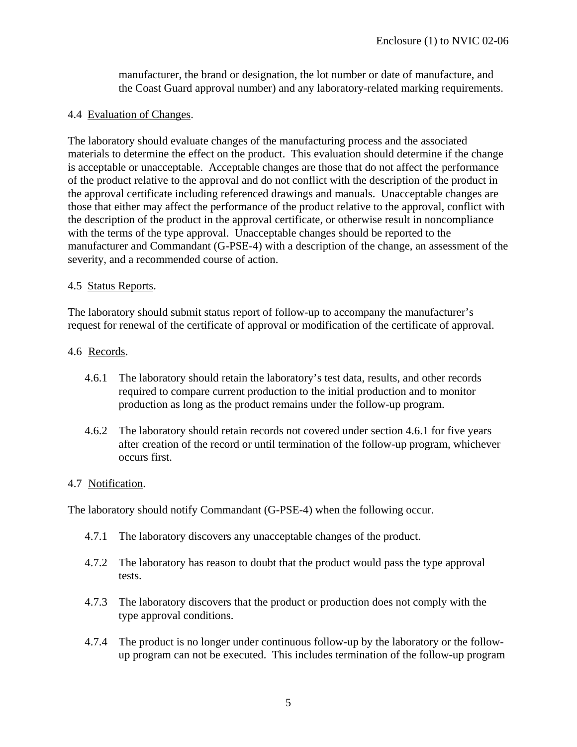manufacturer, the brand or designation, the lot number or date of manufacture, and the Coast Guard approval number) and any laboratory-related marking requirements.

#### 4.4 Evaluation of Changes.

The laboratory should evaluate changes of the manufacturing process and the associated materials to determine the effect on the product. This evaluation should determine if the change is acceptable or unacceptable. Acceptable changes are those that do not affect the performance of the product relative to the approval and do not conflict with the description of the product in the approval certificate including referenced drawings and manuals. Unacceptable changes are those that either may affect the performance of the product relative to the approval, conflict with the description of the product in the approval certificate, or otherwise result in noncompliance with the terms of the type approval. Unacceptable changes should be reported to the manufacturer and Commandant (G-PSE-4) with a description of the change, an assessment of the severity, and a recommended course of action.

#### 4.5 Status Reports.

The laboratory should submit status report of follow-up to accompany the manufacturer's request for renewal of the certificate of approval or modification of the certificate of approval.

#### 4.6 Records.

- 4.6.1 The laboratory should retain the laboratory's test data, results, and other records required to compare current production to the initial production and to monitor production as long as the product remains under the follow-up program.
- 4.6.2 The laboratory should retain records not covered under section 4.6.1 for five years after creation of the record or until termination of the follow-up program, whichever occurs first.

## 4.7 Notification.

The laboratory should notify Commandant (G-PSE-4) when the following occur.

- 4.7.1 The laboratory discovers any unacceptable changes of the product.
- 4.7.2 The laboratory has reason to doubt that the product would pass the type approval tests.
- 4.7.3 The laboratory discovers that the product or production does not comply with the type approval conditions.
- 4.7.4 The product is no longer under continuous follow-up by the laboratory or the followup program can not be executed. This includes termination of the follow-up program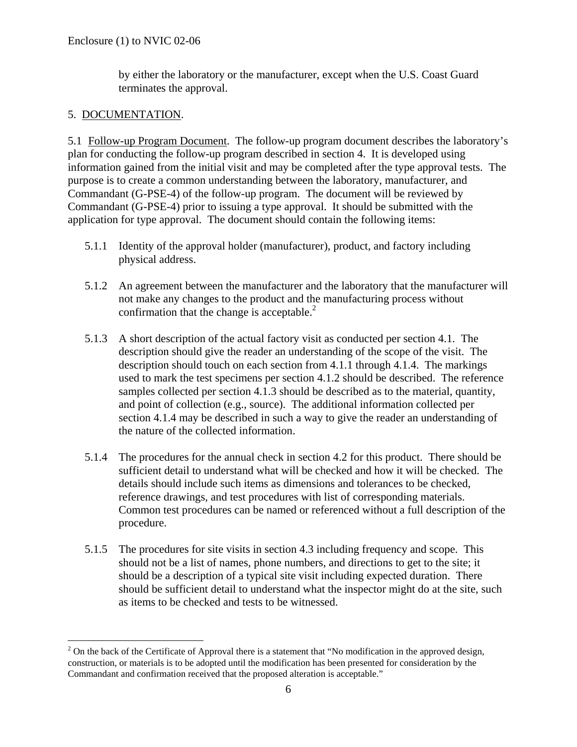by either the laboratory or the manufacturer, except when the U.S. Coast Guard terminates the approval.

## 5. DOCUMENTATION.

 $\overline{a}$ 

5.1 Follow-up Program Document. The follow-up program document describes the laboratory's plan for conducting the follow-up program described in section 4. It is developed using information gained from the initial visit and may be completed after the type approval tests. The purpose is to create a common understanding between the laboratory, manufacturer, and Commandant (G-PSE-4) of the follow-up program. The document will be reviewed by Commandant (G-PSE-4) prior to issuing a type approval. It should be submitted with the application for type approval. The document should contain the following items:

- 5.1.1 Identity of the approval holder (manufacturer), product, and factory including physical address.
- 5.1.2 An agreement between the manufacturer and the laboratory that the manufacturer will not make any changes to the product and the manufacturing process without confirmation that the change is acceptable. $<sup>2</sup>$ </sup>
- 5.1.3 A short description of the actual factory visit as conducted per section 4.1. The description should give the reader an understanding of the scope of the visit. The description should touch on each section from 4.1.1 through 4.1.4. The markings used to mark the test specimens per section 4.1.2 should be described. The reference samples collected per section 4.1.3 should be described as to the material, quantity, and point of collection (e.g., source). The additional information collected per section 4.1.4 may be described in such a way to give the reader an understanding of the nature of the collected information.
- 5.1.4 The procedures for the annual check in section 4.2 for this product. There should be sufficient detail to understand what will be checked and how it will be checked. The details should include such items as dimensions and tolerances to be checked, reference drawings, and test procedures with list of corresponding materials. Common test procedures can be named or referenced without a full description of the procedure.
- 5.1.5 The procedures for site visits in section 4.3 including frequency and scope. This should not be a list of names, phone numbers, and directions to get to the site; it should be a description of a typical site visit including expected duration. There should be sufficient detail to understand what the inspector might do at the site, such as items to be checked and tests to be witnessed.

<span id="page-9-0"></span> $2$  On the back of the Certificate of Approval there is a statement that "No modification in the approved design, construction, or materials is to be adopted until the modification has been presented for consideration by the Commandant and confirmation received that the proposed alteration is acceptable."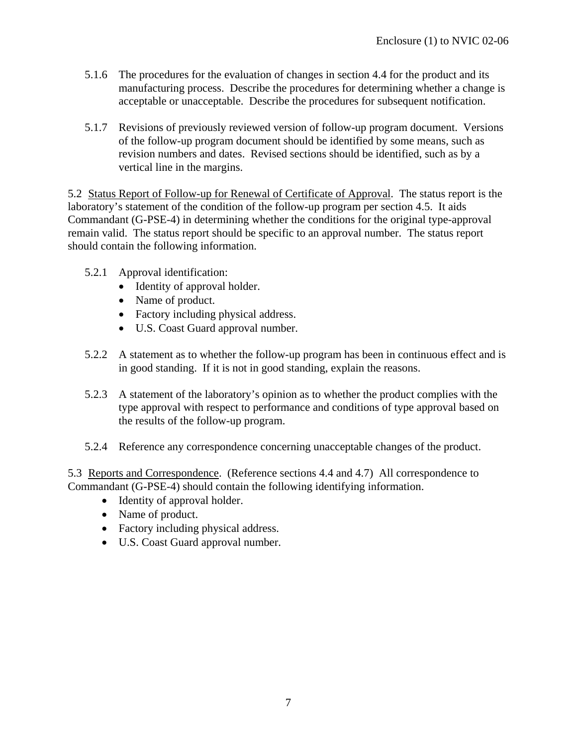- 5.1.6 The procedures for the evaluation of changes in section 4.4 for the product and its manufacturing process. Describe the procedures for determining whether a change is acceptable or unacceptable. Describe the procedures for subsequent notification.
- 5.1.7 Revisions of previously reviewed version of follow-up program document. Versions of the follow-up program document should be identified by some means, such as revision numbers and dates. Revised sections should be identified, such as by a vertical line in the margins.

5.2 Status Report of Follow-up for Renewal of Certificate of Approval. The status report is the laboratory's statement of the condition of the follow-up program per section 4.5. It aids Commandant (G-PSE-4) in determining whether the conditions for the original type-approval remain valid. The status report should be specific to an approval number. The status report should contain the following information.

- 5.2.1 Approval identification:
	- Identity of approval holder.
	- Name of product.
	- Factory including physical address.
	- U.S. Coast Guard approval number.
- 5.2.2 A statement as to whether the follow-up program has been in continuous effect and is in good standing. If it is not in good standing, explain the reasons.
- 5.2.3 A statement of the laboratory's opinion as to whether the product complies with the type approval with respect to performance and conditions of type approval based on the results of the follow-up program.
- 5.2.4 Reference any correspondence concerning unacceptable changes of the product.

5.3 Reports and Correspondence. (Reference sections 4.4 and 4.7) All correspondence to Commandant (G-PSE-4) should contain the following identifying information.

- Identity of approval holder.
- Name of product.
- Factory including physical address.
- U.S. Coast Guard approval number.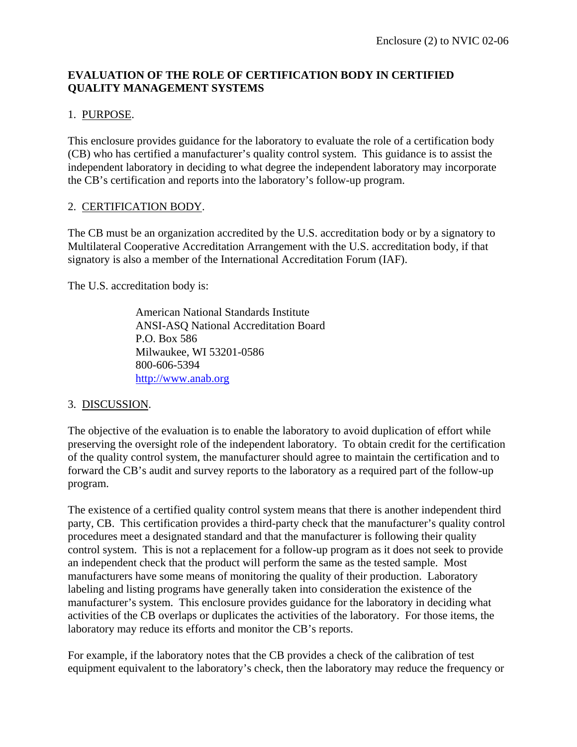## **EVALUATION OF THE ROLE OF CERTIFICATION BODY IN CERTIFIED QUALITY MANAGEMENT SYSTEMS**

## 1. PURPOSE.

This enclosure provides guidance for the laboratory to evaluate the role of a certification body (CB) who has certified a manufacturer's quality control system. This guidance is to assist the independent laboratory in deciding to what degree the independent laboratory may incorporate the CB's certification and reports into the laboratory's follow-up program.

#### 2. CERTIFICATION BODY.

The CB must be an organization accredited by the U.S. accreditation body or by a signatory to Multilateral Cooperative Accreditation Arrangement with the U.S. accreditation body, if that signatory is also a member of the International Accreditation Forum (IAF).

The U.S. accreditation body is:

American National Standards Institute ANSI-ASQ National Accreditation Board P.O. Box 586 Milwaukee, WI 53201-0586 800-606-5394 http://www.anab.org

## 3. DISCUSSION.

The objective of the evaluation is to enable the laboratory to avoid duplication of effort while preserving the oversight role of the independent laboratory. To obtain credit for the certification of the quality control system, the manufacturer should agree to maintain the certification and to forward the CB's audit and survey reports to the laboratory as a required part of the follow-up program.

The existence of a certified quality control system means that there is another independent third party, CB. This certification provides a third-party check that the manufacturer's quality control procedures meet a designated standard and that the manufacturer is following their quality control system. This is not a replacement for a follow-up program as it does not seek to provide an independent check that the product will perform the same as the tested sample. Most manufacturers have some means of monitoring the quality of their production. Laboratory labeling and listing programs have generally taken into consideration the existence of the manufacturer's system. This enclosure provides guidance for the laboratory in deciding what activities of the CB overlaps or duplicates the activities of the laboratory. For those items, the laboratory may reduce its efforts and monitor the CB's reports.

For example, if the laboratory notes that the CB provides a check of the calibration of test equipment equivalent to the laboratory's check, then the laboratory may reduce the frequency or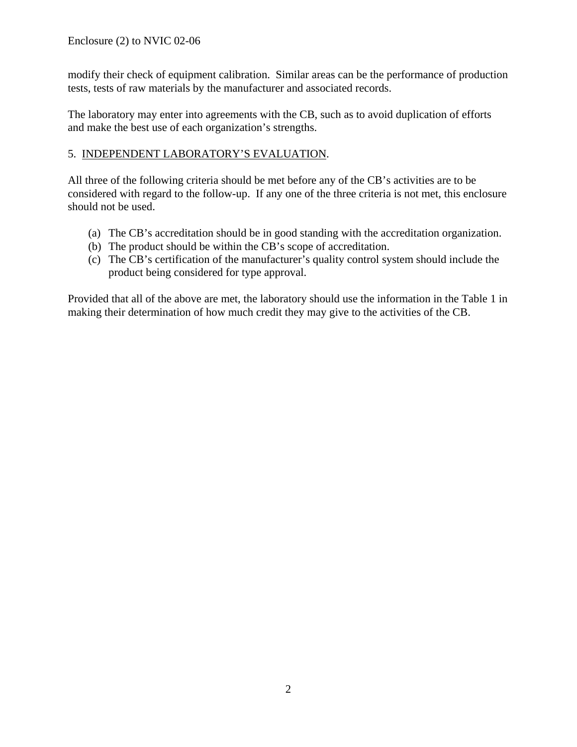modify their check of equipment calibration. Similar areas can be the performance of production tests, tests of raw materials by the manufacturer and associated records.

The laboratory may enter into agreements with the CB, such as to avoid duplication of efforts and make the best use of each organization's strengths.

## 5. INDEPENDENT LABORATORY'S EVALUATION.

All three of the following criteria should be met before any of the CB's activities are to be considered with regard to the follow-up. If any one of the three criteria is not met, this enclosure should not be used.

- (a) The CB's accreditation should be in good standing with the accreditation organization.
- (b) The product should be within the CB's scope of accreditation.
- (c) The CB's certification of the manufacturer's quality control system should include the product being considered for type approval.

Provided that all of the above are met, the laboratory should use the information in the Table 1 in making their determination of how much credit they may give to the activities of the CB.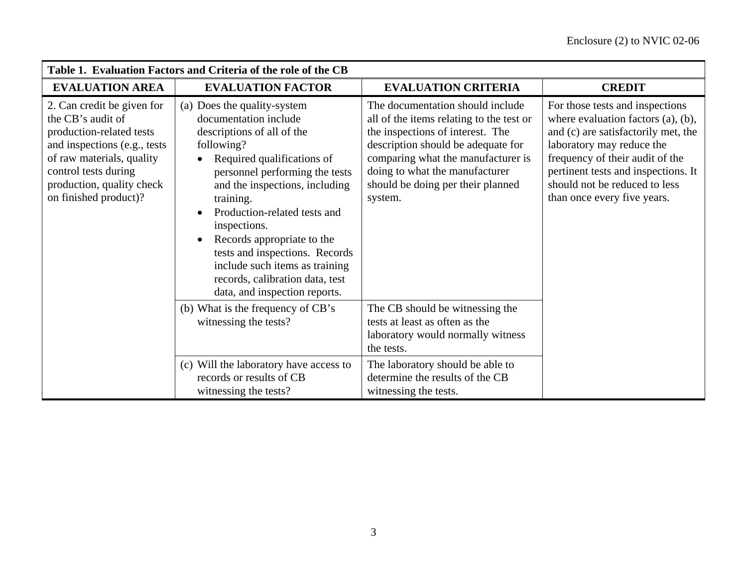| Table 1. Evaluation Factors and Criteria of the role of the CB                                                                                                                                                          |                                                                                                                                                                                                                                                                                                                                                                                                                                       |                                                                                                                                                                                                                                                                                |                                                                                                                                                                                                                                                                                     |  |  |  |  |  |  |  |
|-------------------------------------------------------------------------------------------------------------------------------------------------------------------------------------------------------------------------|---------------------------------------------------------------------------------------------------------------------------------------------------------------------------------------------------------------------------------------------------------------------------------------------------------------------------------------------------------------------------------------------------------------------------------------|--------------------------------------------------------------------------------------------------------------------------------------------------------------------------------------------------------------------------------------------------------------------------------|-------------------------------------------------------------------------------------------------------------------------------------------------------------------------------------------------------------------------------------------------------------------------------------|--|--|--|--|--|--|--|
| <b>EVALUATION AREA</b>                                                                                                                                                                                                  | <b>EVALUATION FACTOR</b>                                                                                                                                                                                                                                                                                                                                                                                                              | <b>EVALUATION CRITERIA</b>                                                                                                                                                                                                                                                     | <b>CREDIT</b>                                                                                                                                                                                                                                                                       |  |  |  |  |  |  |  |
| 2. Can credit be given for<br>the CB's audit of<br>production-related tests<br>and inspections (e.g., tests)<br>of raw materials, quality<br>control tests during<br>production, quality check<br>on finished product)? | (a) Does the quality-system<br>documentation include<br>descriptions of all of the<br>following?<br>Required qualifications of<br>personnel performing the tests<br>and the inspections, including<br>training.<br>Production-related tests and<br>inspections.<br>Records appropriate to the<br>tests and inspections. Records<br>include such items as training<br>records, calibration data, test<br>data, and inspection reports. | The documentation should include<br>all of the items relating to the test or<br>the inspections of interest. The<br>description should be adequate for<br>comparing what the manufacturer is<br>doing to what the manufacturer<br>should be doing per their planned<br>system. | For those tests and inspections<br>where evaluation factors (a), (b),<br>and (c) are satisfactorily met, the<br>laboratory may reduce the<br>frequency of their audit of the<br>pertinent tests and inspections. It<br>should not be reduced to less<br>than once every five years. |  |  |  |  |  |  |  |
|                                                                                                                                                                                                                         | (b) What is the frequency of CB's<br>witnessing the tests?                                                                                                                                                                                                                                                                                                                                                                            | The CB should be witnessing the<br>tests at least as often as the<br>laboratory would normally witness<br>the tests.                                                                                                                                                           |                                                                                                                                                                                                                                                                                     |  |  |  |  |  |  |  |
|                                                                                                                                                                                                                         | (c) Will the laboratory have access to<br>records or results of CB<br>witnessing the tests?                                                                                                                                                                                                                                                                                                                                           | The laboratory should be able to<br>determine the results of the CB<br>witnessing the tests.                                                                                                                                                                                   |                                                                                                                                                                                                                                                                                     |  |  |  |  |  |  |  |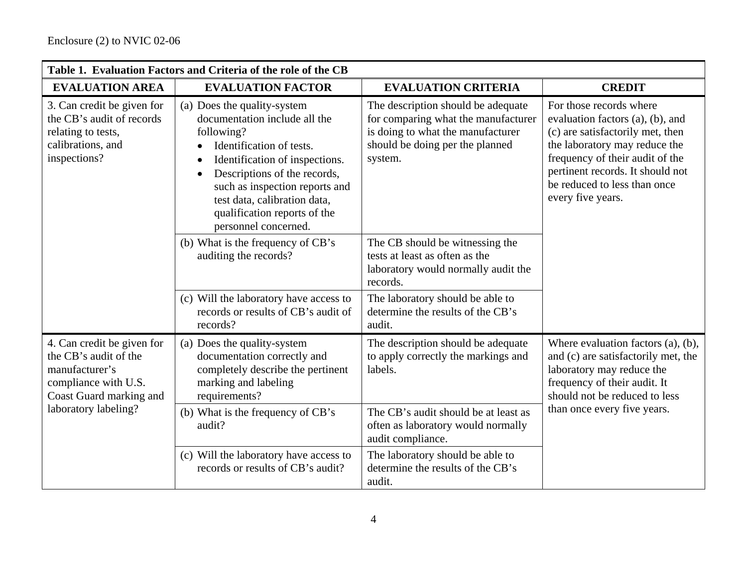| Table 1. Evaluation Factors and Criteria of the role of the CB                                                           |                                                                                                                                                                                                                                                                                                                 |                                                                                                                                                              |                                                                                                                                                                                                                                                              |  |  |  |  |  |  |
|--------------------------------------------------------------------------------------------------------------------------|-----------------------------------------------------------------------------------------------------------------------------------------------------------------------------------------------------------------------------------------------------------------------------------------------------------------|--------------------------------------------------------------------------------------------------------------------------------------------------------------|--------------------------------------------------------------------------------------------------------------------------------------------------------------------------------------------------------------------------------------------------------------|--|--|--|--|--|--|
| <b>EVALUATION AREA</b>                                                                                                   | <b>EVALUATION FACTOR</b>                                                                                                                                                                                                                                                                                        | <b>EVALUATION CRITERIA</b>                                                                                                                                   | <b>CREDIT</b>                                                                                                                                                                                                                                                |  |  |  |  |  |  |
| 3. Can credit be given for<br>the CB's audit of records<br>relating to tests,<br>calibrations, and<br>inspections?       | (a) Does the quality-system<br>documentation include all the<br>following?<br>Identification of tests.<br>Identification of inspections.<br>Descriptions of the records,<br>$\bullet$<br>such as inspection reports and<br>test data, calibration data,<br>qualification reports of the<br>personnel concerned. | The description should be adequate<br>for comparing what the manufacturer<br>is doing to what the manufacturer<br>should be doing per the planned<br>system. | For those records where<br>evaluation factors (a), (b), and<br>(c) are satisfactorily met, then<br>the laboratory may reduce the<br>frequency of their audit of the<br>pertinent records. It should not<br>be reduced to less than once<br>every five years. |  |  |  |  |  |  |
|                                                                                                                          | (b) What is the frequency of CB's<br>auditing the records?                                                                                                                                                                                                                                                      | The CB should be witnessing the<br>tests at least as often as the<br>laboratory would normally audit the<br>records.                                         |                                                                                                                                                                                                                                                              |  |  |  |  |  |  |
|                                                                                                                          | (c) Will the laboratory have access to<br>records or results of CB's audit of<br>records?                                                                                                                                                                                                                       | The laboratory should be able to<br>determine the results of the CB's<br>audit.                                                                              |                                                                                                                                                                                                                                                              |  |  |  |  |  |  |
| 4. Can credit be given for<br>the CB's audit of the<br>manufacturer's<br>compliance with U.S.<br>Coast Guard marking and | (a) Does the quality-system<br>documentation correctly and<br>completely describe the pertinent<br>marking and labeling<br>requirements?                                                                                                                                                                        | The description should be adequate<br>to apply correctly the markings and<br>labels.                                                                         | Where evaluation factors $(a)$ , $(b)$ ,<br>and (c) are satisfactorily met, the<br>laboratory may reduce the<br>frequency of their audit. It<br>should not be reduced to less                                                                                |  |  |  |  |  |  |
| laboratory labeling?                                                                                                     | (b) What is the frequency of CB's<br>audit?                                                                                                                                                                                                                                                                     | The CB's audit should be at least as<br>often as laboratory would normally<br>audit compliance.                                                              | than once every five years.                                                                                                                                                                                                                                  |  |  |  |  |  |  |
|                                                                                                                          | (c) Will the laboratory have access to<br>records or results of CB's audit?                                                                                                                                                                                                                                     | The laboratory should be able to<br>determine the results of the CB's<br>audit.                                                                              |                                                                                                                                                                                                                                                              |  |  |  |  |  |  |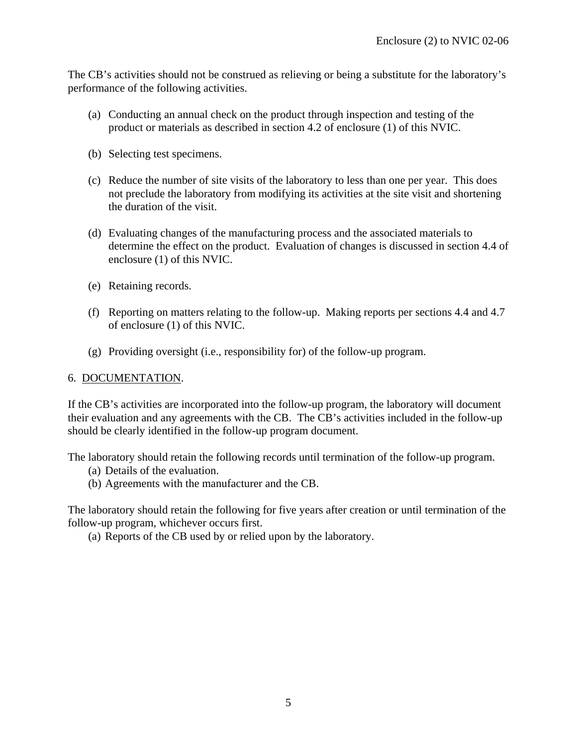The CB's activities should not be construed as relieving or being a substitute for the laboratory's performance of the following activities.

- (a) Conducting an annual check on the product through inspection and testing of the product or materials as described in section 4.2 of enclosure (1) of this NVIC.
- (b) Selecting test specimens.
- (c) Reduce the number of site visits of the laboratory to less than one per year. This does not preclude the laboratory from modifying its activities at the site visit and shortening the duration of the visit.
- (d) Evaluating changes of the manufacturing process and the associated materials to determine the effect on the product. Evaluation of changes is discussed in section 4.4 of enclosure (1) of this NVIC.
- (e) Retaining records.
- (f) Reporting on matters relating to the follow-up. Making reports per sections 4.4 and 4.7 of enclosure (1) of this NVIC.
- (g) Providing oversight (i.e., responsibility for) of the follow-up program.

#### 6. DOCUMENTATION.

If the CB's activities are incorporated into the follow-up program, the laboratory will document their evaluation and any agreements with the CB. The CB's activities included in the follow-up should be clearly identified in the follow-up program document.

The laboratory should retain the following records until termination of the follow-up program.

- (a) Details of the evaluation.
- (b) Agreements with the manufacturer and the CB.

The laboratory should retain the following for five years after creation or until termination of the follow-up program, whichever occurs first.

(a) Reports of the CB used by or relied upon by the laboratory.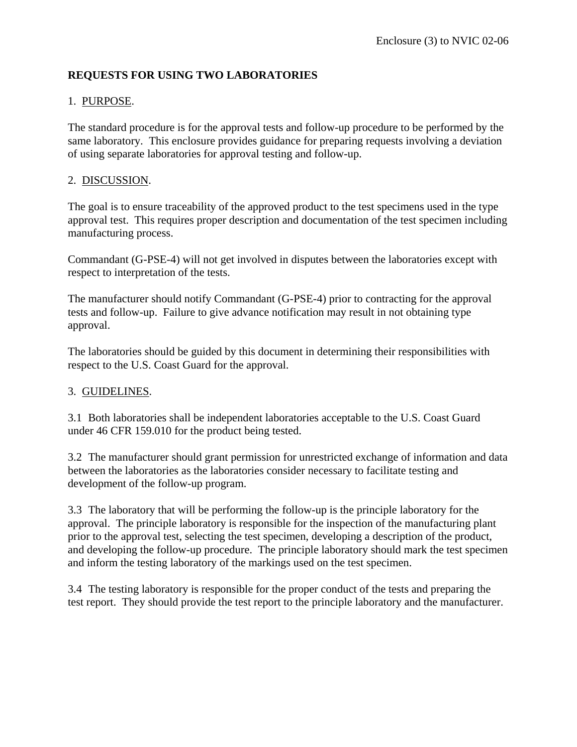## **REQUESTS FOR USING TWO LABORATORIES**

## 1. PURPOSE.

The standard procedure is for the approval tests and follow-up procedure to be performed by the same laboratory. This enclosure provides guidance for preparing requests involving a deviation of using separate laboratories for approval testing and follow-up.

#### 2. DISCUSSION.

The goal is to ensure traceability of the approved product to the test specimens used in the type approval test. This requires proper description and documentation of the test specimen including manufacturing process.

Commandant (G-PSE-4) will not get involved in disputes between the laboratories except with respect to interpretation of the tests.

The manufacturer should notify Commandant (G-PSE-4) prior to contracting for the approval tests and follow-up. Failure to give advance notification may result in not obtaining type approval.

The laboratories should be guided by this document in determining their responsibilities with respect to the U.S. Coast Guard for the approval.

## 3. GUIDELINES.

3.1 Both laboratories shall be independent laboratories acceptable to the U.S. Coast Guard under 46 CFR 159.010 for the product being tested.

3.2 The manufacturer should grant permission for unrestricted exchange of information and data between the laboratories as the laboratories consider necessary to facilitate testing and development of the follow-up program.

3.3 The laboratory that will be performing the follow-up is the principle laboratory for the approval. The principle laboratory is responsible for the inspection of the manufacturing plant prior to the approval test, selecting the test specimen, developing a description of the product, and developing the follow-up procedure. The principle laboratory should mark the test specimen and inform the testing laboratory of the markings used on the test specimen.

3.4 The testing laboratory is responsible for the proper conduct of the tests and preparing the test report. They should provide the test report to the principle laboratory and the manufacturer.